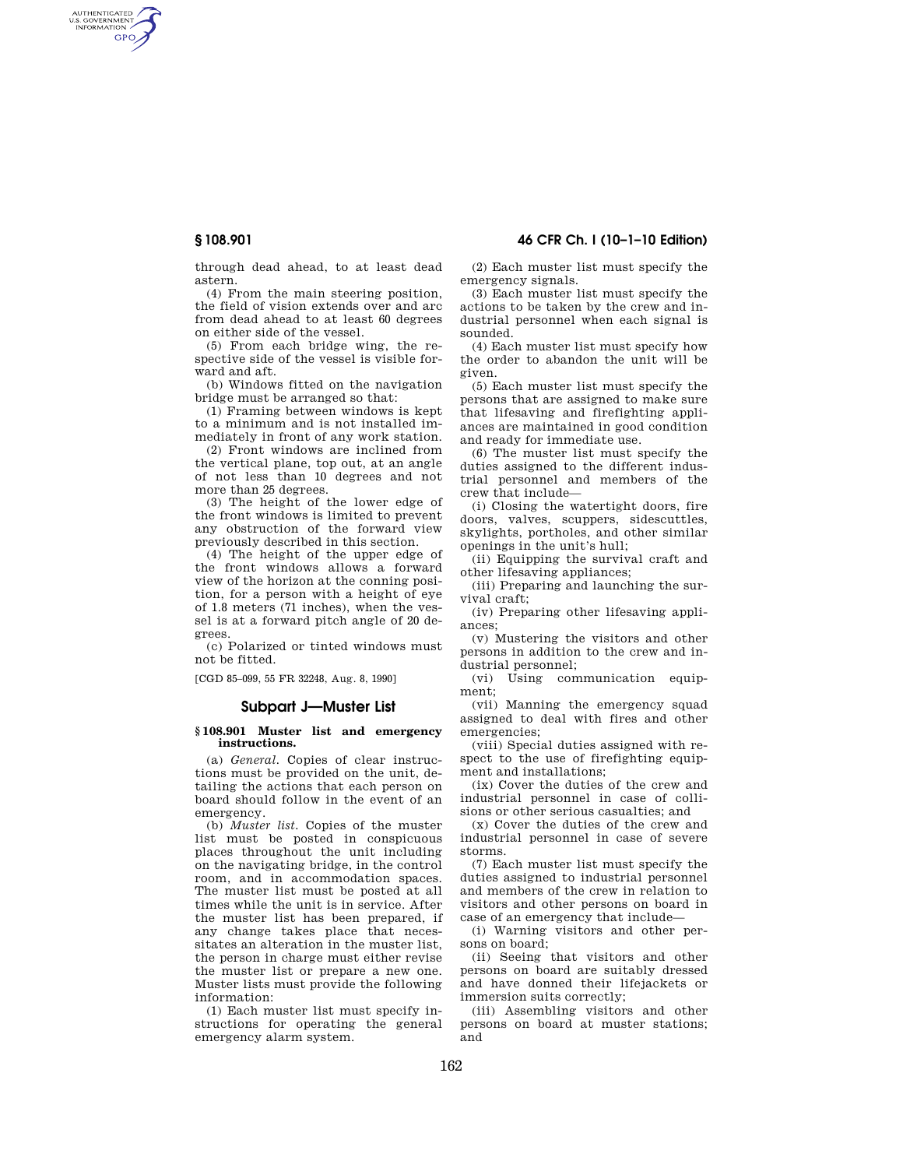AUTHENTICATED<br>U.S. GOVERNMENT<br>INFORMATION **GPO** 

**§ 108.901 46 CFR Ch. I (10–1–10 Edition)** 

through dead ahead, to at least dead astern.

(4) From the main steering position, the field of vision extends over and arc from dead ahead to at least 60 degrees on either side of the vessel.

(5) From each bridge wing, the respective side of the vessel is visible forward and aft.

(b) Windows fitted on the navigation bridge must be arranged so that:

(1) Framing between windows is kept to a minimum and is not installed immediately in front of any work station.

(2) Front windows are inclined from the vertical plane, top out, at an angle of not less than 10 degrees and not more than 25 degrees.

(3) The height of the lower edge of the front windows is limited to prevent any obstruction of the forward view previously described in this section.

(4) The height of the upper edge of the front windows allows a forward view of the horizon at the conning position, for a person with a height of eye of 1.8 meters (71 inches), when the vessel is at a forward pitch angle of 20 degrees.

(c) Polarized or tinted windows must not be fitted.

[CGD 85–099, 55 FR 32248, Aug. 8, 1990]

# **Subpart J—Muster List**

#### **§ 108.901 Muster list and emergency instructions.**

(a) *General.* Copies of clear instructions must be provided on the unit, detailing the actions that each person on board should follow in the event of an emergency.

(b) *Muster list.* Copies of the muster list must be posted in conspicuous places throughout the unit including on the navigating bridge, in the control room, and in accommodation spaces. The muster list must be posted at all times while the unit is in service. After the muster list has been prepared, if any change takes place that necessitates an alteration in the muster list, the person in charge must either revise the muster list or prepare a new one. Muster lists must provide the following information:

(1) Each muster list must specify instructions for operating the general emergency alarm system.

(2) Each muster list must specify the emergency signals.

(3) Each muster list must specify the actions to be taken by the crew and industrial personnel when each signal is sounded.

(4) Each muster list must specify how the order to abandon the unit will be given.

(5) Each muster list must specify the persons that are assigned to make sure that lifesaving and firefighting appliances are maintained in good condition and ready for immediate use.

(6) The muster list must specify the duties assigned to the different industrial personnel and members of the crew that include—

(i) Closing the watertight doors, fire doors, valves, scuppers, sidescuttles, skylights, portholes, and other similar openings in the unit's hull;

(ii) Equipping the survival craft and other lifesaving appliances;

(iii) Preparing and launching the survival craft;

(iv) Preparing other lifesaving appliances;

(v) Mustering the visitors and other persons in addition to the crew and industrial personnel;

(vi) Using communication equipment;

(vii) Manning the emergency squad assigned to deal with fires and other emergencies;

(viii) Special duties assigned with respect to the use of firefighting equipment and installations;

(ix) Cover the duties of the crew and industrial personnel in case of collisions or other serious casualties; and

(x) Cover the duties of the crew and industrial personnel in case of severe storms.

(7) Each muster list must specify the duties assigned to industrial personnel and members of the crew in relation to visitors and other persons on board in case of an emergency that include—

(i) Warning visitors and other persons on board;

(ii) Seeing that visitors and other persons on board are suitably dressed and have donned their lifejackets or immersion suits correctly;

(iii) Assembling visitors and other persons on board at muster stations; and